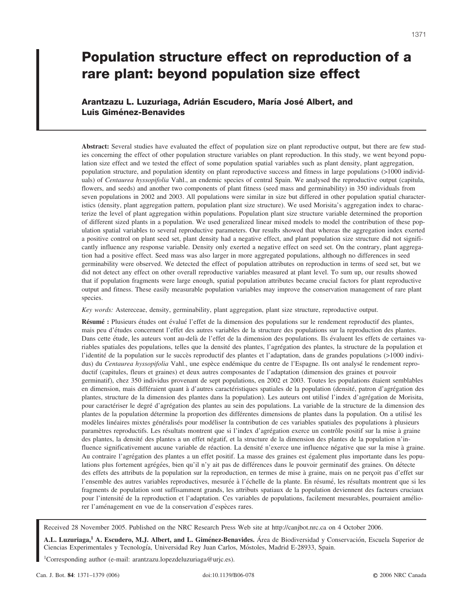# **Population structure effect on reproduction of a rare plant: beyond population size effect**

**Arantzazu L. Luzuriaga, Adria´n Escudero, Marı´a Jose´ Albert, and Luis Giménez-Benavides** 

**Abstract:** Several studies have evaluated the effect of population size on plant reproductive output, but there are few studies concerning the effect of other population structure variables on plant reproduction. In this study, we went beyond population size effect and we tested the effect of some population spatial variables such as plant density, plant aggregation, population structure, and population identity on plant reproductive success and fitness in large populations (>1000 individuals) of *Centaurea hyssopifolia* Vahl., an endemic species of central Spain. We analysed the reproductive output (capitula, flowers, and seeds) and another two components of plant fitness (seed mass and germinability) in 350 individuals from seven populations in 2002 and 2003. All populations were similar in size but differed in other population spatial characteristics (density, plant aggregation pattern, population plant size structure). We used Morisita's aggregation index to characterize the level of plant aggregation within populations. Population plant size structure variable determined the proportion of different sized plants in a population. We used generalized linear mixed models to model the contribution of these population spatial variables to several reproductive parameters. Our results showed that whereas the aggregation index exerted a positive control on plant seed set, plant density had a negative effect, and plant population size structure did not significantly influence any response variable. Density only exerted a negative effect on seed set. On the contrary, plant aggregation had a positive effect. Seed mass was also larger in more aggregated populations, although no differences in seed germinability were observed. We detected the effect of population attributes on reproduction in terms of seed set, but we did not detect any effect on other overall reproductive variables measured at plant level. To sum up, our results showed that if population fragments were large enough, spatial population attributes became crucial factors for plant reproductive output and fitness. These easily measurable population variables may improve the conservation management of rare plant species.

*Key words:* Astereceae, density, germinability, plant aggregation, plant size structure, reproductive output.

**Résumé :** Plusieurs études ont évalué l'effet de la dimension des populations sur le rendement reproductif des plantes, mais peu d'études concernent l'effet des autres variables de la structure des populations sur la reproduction des plantes. Dans cette étude, les auteurs vont au-delà de l'effet de la dimension des populations. Ils évaluent les effets de certaines variables spatiales des populations, telles que la densité des plantes, l'agrégation des plantes, la structure de la population et l'identité de la population sur le succès reproductif des plantes et l'adaptation, dans de grandes populations (>1000 individus) du *Centaurea hyssopifolia* Vahl., une espèce endémique du centre de l'Espagne. Ils ont analysé le rendement reproductif (capitules, fleurs et graines) et deux autres composantes de l'adaptation (dimension des graines et pouvoir germinatif), chez 350 individus provenant de sept populations, en 2002 et 2003. Toutes les populations étaient semblables en dimension, mais différaient quant à d'autres caractéristiques spatiales de la population (densité, patron d'agrégation des plantes, structure de la dimension des plantes dans la population). Les auteurs ont utilisé l'index d'agrégation de Morisita, pour caractériser le degré d'agrégation des plantes au sein des populations. La variable de la structure de la dimension des plantes de la population détermine la proportion des différentes dimensions de plantes dans la population. On a utilisé les modèles linéaires mixtes généralisés pour modéliser la contribution de ces variables spatiales des populations à plusieurs paramètres reproductifs. Les résultats montrent que si l'index d'agrégation exerce un contrôle positif sur la mise à graine des plantes, la densité des plantes a un effet négatif, et la structure de la dimension des plantes de la population n'influence significativement aucune variable de réaction. La densité n'exerce une influence négative que sur la mise à graine. Au contraire l'agrégation des plantes a un effet positif. La masse des graines est également plus importante dans les populations plus fortement agrégées, bien qu'il n'y ait pas de différences dans le pouvoir germinatif des graines. On détecte des effets des attributs de la population sur la reproduction, en termes de mise à graine, mais on ne perçoit pas d'effet sur l'ensemble des autres variables reproductives, mesurée à l'échelle de la plante. En résumé, les résultats montrent que si les fragments de population sont suffisamment grands, les attributs spatiaux de la population deviennent des facteurs cruciaux pour l'intensité de la reproduction et l'adaptation. Ces variables de populations, facilement mesurables, pourraient améliorer l'aménagement en vue de la conservation d'espèces rares.

Received 28 November 2005. Published on the NRC Research Press Web site at http://canjbot.nrc.ca on 4 October 2006.

A.L. Luzuriaga,<sup>1</sup> A. Escudero, M.J. Albert, and L. Giménez-Benavides. Área de Biodiversidad y Conservación, Escuela Superior de Ciencias Experimentales y Tecnología, Universidad Rey Juan Carlos, Móstoles, Madrid E-28933, Spain.

<sup>1</sup>Corresponding author (e-mail: arantzazu.lopezdeluzuriaga@urjc.es).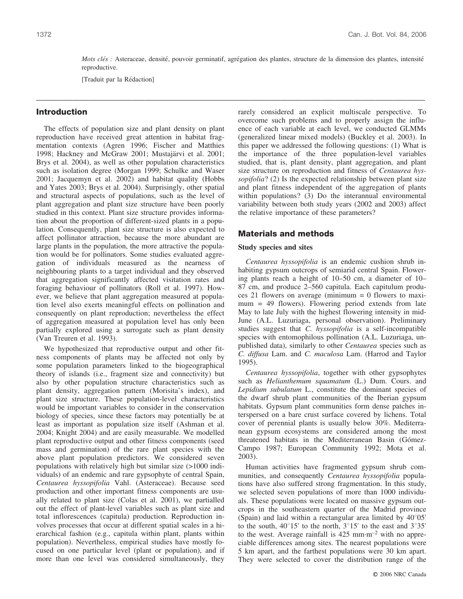*Mots clés :* Asteraceae, densité, pouvoir germinatif, agrégation des plantes, structure de la dimension des plantes, intensité reproductive.

\_\_\_\_\_\_\_\_\_\_\_\_\_\_\_\_\_\_\_\_\_\_\_\_\_\_\_\_\_\_\_\_\_\_\_\_\_\_\_\_\_\_\_\_\_\_\_\_\_\_\_\_\_\_\_\_\_\_\_\_\_\_\_\_\_\_\_\_\_\_\_\_\_\_\_\_\_\_\_\_\_\_\_\_\_\_

[Traduit par la Rédaction]

# **Introduction**

The effects of population size and plant density on plant reproduction have received great attention in habitat fragmentation contexts (Agren 1996; Fischer and Matthies 1998; Hackney and McGraw 2001; Mustajärvi et al. 2001; Brys et al. 2004), as well as other population characteristics such as isolation degree (Morgan 1999; Schulke and Waser 2001; Jacquemyn et al. 2002) and habitat quality (Hobbs and Yates 2003; Brys et al. 2004). Surprisingly, other spatial and structural aspects of populations, such as the level of plant aggregation and plant size structure have been poorly studied in this context. Plant size structure provides information about the proportion of different-sized plants in a population. Consequently, plant size structure is also expected to affect pollinator attraction, because the more abundant are large plants in the population, the more attractive the population would be for pollinators. Some studies evaluated aggregation of individuals measured as the nearness of neighbouring plants to a target individual and they observed that aggregation significantly affected visitation rates and foraging behaviour of pollinators (Roll et al. 1997). However, we believe that plant aggregation measured at population level also exerts meaningful effects on pollination and consequently on plant reproduction; nevertheless the effect of aggregation measured at population level has only been partially explored using a surrogate such as plant density (Van Treuren et al. 1993).

We hypothesized that reproductive output and other fitness components of plants may be affected not only by some population parameters linked to the biogeographical theory of islands (i.e., fragment size and connectivity) but also by other population structure characteristics such as plant density, aggregation pattern (Morisita's index), and plant size structure. These population-level characteristics would be important variables to consider in the conservation biology of species, since these factors may potentially be at least as important as population size itself (Ashman et al. 2004; Knight 2004) and are easily measurable. We modelled plant reproductive output and other fitness components (seed mass and germination) of the rare plant species with the above plant population predictors. We considered seven populations with relatively high but similar size (>1000 individuals) of an endemic and rare gypsophyte of central Spain, *Centaurea hyssopifolia* Vahl. (Asteraceae). Because seed production and other important fitness components are usually related to plant size (Colas et al. 2001), we partialled out the effect of plant-level variables such as plant size and total inflorescences (capitula) production. Reproduction involves processes that occur at different spatial scales in a hierarchical fashion (e.g., capitula within plant, plants within population). Nevertheless, empirical studies have mostly focused on one particular level (plant or population), and if more than one level was considered simultaneously, they rarely considered an explicit multiscale perspective. To overcome such problems and to properly assign the influence of each variable at each level, we conducted GLMMs (generalized linear mixed models) (Buckley et al. 2003). In this paper we addressed the following questions: (1) What is the importance of the three population-level variables studied, that is, plant density, plant aggregation, and plant size structure on reproduction and fitness of *Centaurea hyssopifolia*? (2) Is the expected relationship between plant size and plant fitness independent of the aggregation of plants within populations? (3) Do the interannual environmental variability between both study years (2002 and 2003) affect the relative importance of these parameters?

## **Materials and methods**

#### **Study species and sites**

*Centaurea hyssopifolia* is an endemic cushion shrub inhabiting gypsum outcrops of semiarid central Spain. Flowering plants reach a height of 10–50 cm, a diameter of 10– 87 cm, and produce 2–560 capitula. Each capitulum produces 21 flowers on average (minimum  $= 0$  flowers to maximum = 49 flowers). Flowering period extends from late May to late July with the highest flowering intensity in mid-June (A.L. Luzuriaga, personal observation). Preliminary studies suggest that *C. hyssopifolia* is a self-incompatible species with entomophilous pollination (A.L. Luzuriaga, unpublished data), similarly to other *Centaurea* species such as *C. diffusa* Lam. and *C. maculosa* Lam. (Harrod and Taylor 1995).

*Centaurea hyssopifolia*, together with other gypsophytes such as *Helianthemum squamatum* (L.) Dum. Cours. and *Lepidium subulatum* L., constitute the dominant species of the dwarf shrub plant communities of the Iberian gypsum habitats. Gypsum plant communities form dense patches interspersed on a bare crust surface covered by lichens. Total cover of perennial plants is usually below 30%. Mediterranean gypsum ecosystems are considered among the most threatened habitats in the Mediterranean Basin (Gómez-Campo 1987; European Community 1992; Mota et al. 2003).

Human activities have fragmented gypsum shrub communities, and consequently *Centaurea hyssopifolia* populations have also suffered strong fragmentation. In this study, we selected seven populations of more than 1000 individuals. These populations were located on massive gypsum outcrops in the southeastern quarter of the Madrid province (Spain) and laid within a rectangular area limited by  $40^{\circ}05'$ to the south,  $40^{\circ}15'$  to the north,  $3^{\circ}15'$  to the east and  $3^{\circ}35'$ to the west. Average rainfall is  $425$  mm $\cdot$ m $^{-2}$  with no appreciable differences among sites. The nearest populations were 5 km apart, and the farthest populations were 30 km apart. They were selected to cover the distribution range of the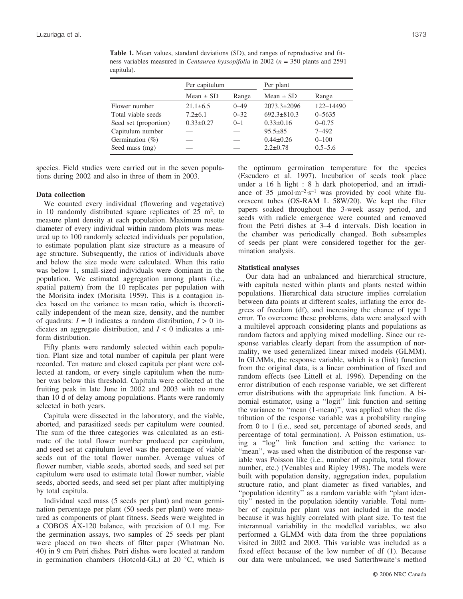**Table 1.** Mean values, standard deviations (SD), and ranges of reproductive and fitness variables measured in *Centaurea hyssopifolia* in 2002 (*n* = 350 plants and 2591 capitula).

|                       | Per capitulum   |          | Per plant         |             |  |
|-----------------------|-----------------|----------|-------------------|-------------|--|
|                       | Mean $\pm$ SD   | Range    | Mean $\pm$ SD     | Range       |  |
| Flower number         | $21.1 \pm 6.5$  | $0 - 49$ | $2073.3 \pm 2096$ | 122-14490   |  |
| Total viable seeds    | $7.2 \pm 6.1$   | $0 - 32$ | $692.3 \pm 810.3$ | $0 - 5635$  |  |
| Seed set (proportion) | $0.33 \pm 0.27$ | $0 - 1$  | $0.33 \pm 0.16$   | $0 - 0.75$  |  |
| Capitulum number      |                 |          | $95.5 \pm 85$     | $7 - 492$   |  |
| Germination $(\% )$   |                 |          | $0.44 \pm 0.26$   | $0 - 100$   |  |
| Seed mass (mg)        |                 |          | $2.2 \pm 0.78$    | $0.5 - 5.6$ |  |

species. Field studies were carried out in the seven populations during 2002 and also in three of them in 2003.

## **Data collection**

We counted every individual (flowering and vegetative) in 10 randomly distributed square replicates of  $25 \text{ m}^2$ , to measure plant density at each population. Maximum rosette diameter of every individual within random plots was measured up to 100 randomly selected individuals per population, to estimate population plant size structure as a measure of age structure. Subsequently, the ratios of individuals above and below the size mode were calculated. When this ratio was below 1, small-sized individuals were dominant in the population. We estimated aggregation among plants (i.e., spatial pattern) from the 10 replicates per population with the Morisita index (Morisita 1959). This is a contagion index based on the variance to mean ratio, which is theoretically independent of the mean size, density, and the number of quadrats:  $I = 0$  indicates a random distribution,  $I > 0$  indicates an aggregate distribution, and  $I < 0$  indicates a uniform distribution.

Fifty plants were randomly selected within each population. Plant size and total number of capitula per plant were recorded. Ten mature and closed capitula per plant were collected at random, or every single capitulum when the number was below this threshold. Capitula were collected at the fruiting peak in late June in 2002 and 2003 with no more than 10 d of delay among populations. Plants were randomly selected in both years.

Capitula were dissected in the laboratory, and the viable, aborted, and parasitized seeds per capitulum were counted. The sum of the three categories was calculated as an estimate of the total flower number produced per capitulum, and seed set at capitulum level was the percentage of viable seeds out of the total flower number. Average values of flower number, viable seeds, aborted seeds, and seed set per capitulum were used to estimate total flower number, viable seeds, aborted seeds, and seed set per plant after multiplying by total capitula.

Individual seed mass (5 seeds per plant) and mean germination percentage per plant (50 seeds per plant) were measured as components of plant fitness. Seeds were weighted in a COBOS AX-120 balance, with precision of 0.1 mg. For the germination assays, two samples of 25 seeds per plant were placed on two sheets of filter paper (Whatman No. 40) in 9 cm Petri dishes. Petri dishes were located at random in germination chambers (Hotcold-GL) at 20  $\degree$ C, which is the optimum germination temperature for the species (Escudero et al. 1997). Incubation of seeds took place under a 16 h light : 8 h dark photoperiod, and an irradiance of 35  $\mu$ mol·m<sup>-2</sup>·s<sup>-1</sup> was provided by cool white fluorescent tubes (OS-RAM L 58W/20). We kept the filter papers soaked throughout the 3-week assay period, and seeds with radicle emergence were counted and removed from the Petri dishes at 3–4 d intervals. Dish location in the chamber was periodically changed. Both subsamples of seeds per plant were considered together for the germination analysis.

#### **Statistical analyses**

Our data had an unbalanced and hierarchical structure, with capitula nested within plants and plants nested within populations. Hierarchical data structure implies correlation between data points at different scales, inflating the error degrees of freedom (df), and increasing the chance of type I error. To overcome these problems, data were analysed with a multilevel approach considering plants and populations as random factors and applying mixed modelling. Since our response variables clearly depart from the assumption of normality, we used generalized linear mixed models (GLMM). In GLMMs, the response variable, which is a (link) function from the original data, is a linear combination of fixed and random effects (see Littell et al. 1996). Depending on the error distribution of each response variable, we set different error distributions with the appropriate link function. A binomial estimator, using a ''logit'' link function and setting the variance to ''mean (1-mean)'', was applied when the distribution of the response variable was a probability ranging from 0 to 1 (i.e., seed set, percentage of aborted seeds, and percentage of total germination). A Poisson estimation, using a ''log'' link function and setting the variance to "mean", was used when the distribution of the response variable was Poisson like (i.e., number of capitula, total flower number, etc.) (Venables and Ripley 1998). The models were built with population density, aggregation index, population structure ratio, and plant diameter as fixed variables, and ''population identity'' as a random variable with ''plant identity'' nested in the population identity variable. Total number of capitula per plant was not included in the model because it was highly correlated with plant size. To test the interannual variability in the modelled variables, we also performed a GLMM with data from the three populations visited in 2002 and 2003. This variable was included as a fixed effect because of the low number of df (1). Because our data were unbalanced, we used Satterthwaite's method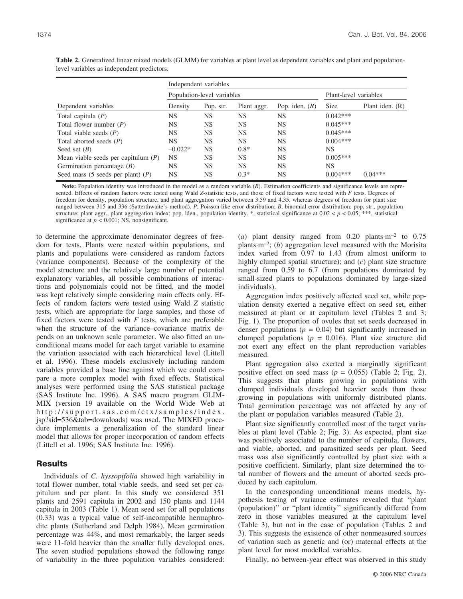|                                               | Independent variables      |           |             |                  |                       |                   |  |
|-----------------------------------------------|----------------------------|-----------|-------------|------------------|-----------------------|-------------------|--|
| Dependent variables                           | Population-level variables |           |             |                  | Plant-level variables |                   |  |
|                                               | Density                    | Pop. str. | Plant aggr. | Pop. iden. $(R)$ | <b>Size</b>           | Plant iden. $(R)$ |  |
| Total capitula $(P)$                          | NS                         | NS        | <b>NS</b>   | <b>NS</b>        | $0.042***$            |                   |  |
| Total flower number $(P)$                     | <b>NS</b>                  | <b>NS</b> | <b>NS</b>   | <b>NS</b>        | $0.045***$            |                   |  |
| Total viable seeds $(P)$                      | <b>NS</b>                  | NS        | <b>NS</b>   | <b>NS</b>        | $0.045***$            |                   |  |
| Total aborted seeds $(P)$                     | <b>NS</b>                  | <b>NS</b> | <b>NS</b>   | <b>NS</b>        | $0.004***$            |                   |  |
| Seed set $(B)$                                | $-0.022*$                  | <b>NS</b> | $0.8*$      | <b>NS</b>        | <b>NS</b>             |                   |  |
| Mean viable seeds per capitulum $(P)$         | <b>NS</b>                  | <b>NS</b> | <b>NS</b>   | <b>NS</b>        | $0.005***$            |                   |  |
| Germination percentage $(B)$                  | <b>NS</b>                  | <b>NS</b> | <b>NS</b>   | <b>NS</b>        | <b>NS</b>             |                   |  |
| Seed mass $(5 \text{ seeds per plant})$ $(P)$ | NS                         | NS        | $0.3*$      | NS               | $0.004***$            | $0.04***$         |  |

**Table 2.** Generalized linear mixed models (GLMM) for variables at plant level as dependent variables and plant and populationlevel variables as independent predictors.

**Note:** Population identity was introduced in the model as a random variable (*R*). Estimation coefficients and significance levels are represented. Effects of random factors were tested using Wald *Z*-statistic tests, and those of fixed factors were tested with *F* tests. Degrees of freedom for density, population structure, and plant aggregation varied between 3.59 and 4.35, whereas degrees of freedom for plant size ranged between 315 and 336 (Satterthwaite's method). *P*, Poisson-like error distribution; *B*, binomial error distribution; pop. str., population structure; plant aggr., plant aggregation index; pop. iden., population identity.  $*$ , statistical significance at  $0.02 < p < 0.05$ ;  $**$ , statistical significance at  $p < 0.001$ ; NS, nonsignificant.

to determine the approximate denominator degrees of freedom for tests. Plants were nested within populations, and plants and populations were considered as random factors (variance components). Because of the complexity of the model structure and the relatively large number of potential explanatory variables, all possible combinations of interactions and polynomials could not be fitted, and the model was kept relatively simple considering main effects only. Effects of random factors were tested using Wald *Z* statistic tests, which are appropriate for large samples, and those of fixed factors were tested with *F* tests, which are preferable when the structure of the variance–covariance matrix depends on an unknown scale parameter. We also fitted an unconditional means model for each target variable to examine the variation associated with each hierarchical level (Littell et al. 1996). These models exclusively including random variables provided a base line against which we could compare a more complex model with fixed effects. Statistical analyses were performed using the SAS statistical package (SAS Institute Inc. 1996). A SAS macro program GLIM-MIX (version 19 available on the World Wide Web at http://support.sas.com/ctx/samples/index. jsp?sid=536&tab=downloads) was used. The MIXED procedure implements a generalization of the standard linear model that allows for proper incorporation of random effects (Littell et al. 1996; SAS Institute Inc. 1996).

## **Results**

Individuals of *C. hyssopifolia* showed high variability in total flower number, total viable seeds, and seed set per capitulum and per plant. In this study we considered 351 plants and 2591 capitula in 2002 and 150 plants and 1144 capitula in 2003 (Table 1). Mean seed set for all populations (0.33) was a typical value of self-incompatible hermaphrodite plants (Sutherland and Delph 1984). Mean germination percentage was 44%, and most remarkably, the larger seeds were 11-fold heavier than the smaller fully developed ones. The seven studied populations showed the following range of variability in the three population variables considered: (*a*) plant density ranged from  $0.20$  plants $\cdot$ m<sup>-2</sup> to  $0.75$ plants $-m^{-2}$ ; (b) aggregation level measured with the Morisita index varied from 0.97 to 1.43 (from almost uniform to highly clumped spatial structure); and (*c*) plant size structure ranged from 0.59 to 6.7 (from populations dominated by small-sized plants to populations dominated by large-sized individuals).

Aggregation index positively affected seed set, while population density exerted a negative effect on seed set, either measured at plant or at capitulum level (Tables 2 and 3; Fig. 1). The proportion of ovules that set seeds decreased in denser populations  $(p = 0.04)$  but significantly increased in clumped populations ( $p = 0.016$ ). Plant size structure did not exert any effect on the plant reproduction variables measured.

Plant aggregation also exerted a marginally significant positive effect on seed mass  $(p = 0.055)$  (Table 2; Fig. 2). This suggests that plants growing in populations with clumped individuals developed heavier seeds than those growing in populations with uniformly distributed plants. Total germination percentage was not affected by any of the plant or population variables measured (Table 2).

Plant size significantly controlled most of the target variables at plant level (Table 2; Fig. 3). As expected, plant size was positively associated to the number of capitula, flowers, and viable, aborted, and parasitized seeds per plant. Seed mass was also significantly controlled by plant size with a positive coefficient. Similarly, plant size determined the total number of flowers and the amount of aborted seeds produced by each capitulum.

In the corresponding unconditional means models, hypothesis testing of variance estimates revealed that ''plant (population)'' or ''plant identity'' significantly differed from zero in those variables measured at the capitulum level (Table 3), but not in the case of population (Tables 2 and 3). This suggests the existence of other nonmeasured sources of variation such as genetic and (or) maternal effects at the plant level for most modelled variables.

Finally, no between-year effect was observed in this study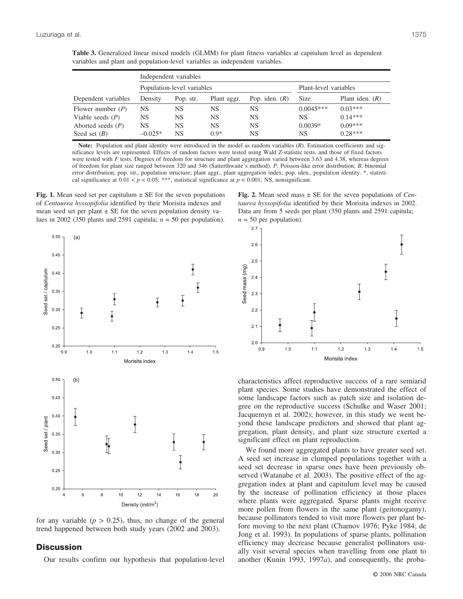|                     | Independent variables      |           |             |                  |                       |                   |  |  |  |
|---------------------|----------------------------|-----------|-------------|------------------|-----------------------|-------------------|--|--|--|
|                     | Population-level variables |           |             |                  | Plant-level variables |                   |  |  |  |
| Dependent variables | Density                    | Pop. str. | Plant aggr. | Pop. iden. $(R)$ | <b>Size</b>           | Plant iden. $(R)$ |  |  |  |
| Flower number $(P)$ | NS                         | NS        | NS          | NS               | $0.0045***$           | $0.03***$         |  |  |  |
| Viable seeds $(P)$  | NS                         | NS        | NS          | NS               | NS                    | $0.14***$         |  |  |  |
| Aborted seeds $(P)$ | NS                         | NS        | NS          | NS               | $0.0039*$             | $0.09***$         |  |  |  |
| Seed set $(B)$      | $-0.025*$                  | NS        | $0.9*$      | NS               | NS                    | $0.28***$         |  |  |  |

**Table 3.** Generalized linear mixed models (GLMM) for plant fitness variables at capitulum level as dependent variables and plant and population-level variables as independent variables.

**Note:** Population and plant identity were introduced in the model as random variables (*R*). Estimation coefficients and significance levels are represented. Effects of random factors were tested using Wald *Z*-statistic tests, and those of fixed factors were tested with *F* tests. Degrees of freedom for structure and plant aggregation varied between 3.63 and 4.38, whereas degrees of freedom for plant size ranged between 320 and 346 (Satterthwaite's method). *P*, Poisson-like error distribution; *B*, binomial error distribution; pop. str., population structure; plant aggr., plant aggregation index; pop. iden., population identity. \*, statistical significance at  $0.01 < p < 0.05$ ; \*\*\*, statistical significance at  $p < 0.001$ ; NS, nonsignificant.

**Fig. 1.** Mean seed set per capitulum  $\pm$  SE for the seven populations of *Centaurea hyssopifolia* identified by their Morisita indexes and mean seed set per plant  $\pm$  SE for the seven population density values in 2002 (350 plants and 2591 capitula;  $n = 50$  per population).



for any variable  $(p > 0.25)$ , thus, no change of the general trend happened between both study years (2002 and 2003).

# **Discussion**

Our results confirm our hypothesis that population-level

**Fig. 2.** Mean seed mass ± SE for the seven populations of *Centaurea hyssopifolia* identified by their Morisita indexes in 2002. Data are from 5 seeds per plant (350 plants and 2591 capitula;  $n = 50$  per population).



characteristics affect reproductive success of a rare semiarid plant species. Some studies have demonstrated the effect of some landscape factors such as patch size and isolation degree on the reproductive success (Schulke and Waser 2001; Jacquemyn et al. 2002); however, in this study we went beyond these landscape predictors and showed that plant aggregation, plant density, and plant size structure exerted a significant effect on plant reproduction.

We found more aggregated plants to have greater seed set. A seed set increase in clumped populations together with a seed set decrease in sparse ones have been previously observed (Watanabe et al. 2003). The positive effect of the aggregation index at plant and capitulum level may be caused by the increase of pollination efficiency at those places where plants were aggregated. Sparse plants might receive more pollen from flowers in the same plant (geitonogamy), because pollinators tended to visit more flowers per plant before moving to the next plant (Charnov 1976; Pyke 1984; de Jong et al. 1993). In populations of sparse plants, pollination efficiency may decrease because generalist pollinators usually visit several species when travelling from one plant to another (Kunin 1993, 1997*a*), and consequently, the proba-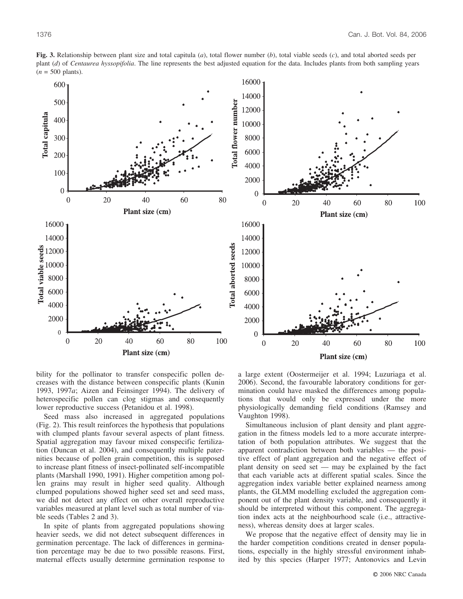

**Fig. 3.** Relationship between plant size and total capitula (*a*), total flower number (*b*), total viable seeds (*c*), and total aborted seeds per plant (*d*) of *Centaurea hyssopifolia*. The line represents the best adjusted equation for the data. Includes plants from both sampling years (*n* = 500 plants).

bility for the pollinator to transfer conspecific pollen decreases with the distance between conspecific plants (Kunin 1993, 1997*a*; Aizen and Feinsinger 1994). The delivery of heterospecific pollen can clog stigmas and consequently lower reproductive success (Petanidou et al. 1998).

Seed mass also increased in aggregated populations (Fig. 2). This result reinforces the hypothesis that populations with clumped plants favour several aspects of plant fitness. Spatial aggregation may favour mixed conspecific fertilization (Duncan et al. 2004), and consequently multiple paternities because of pollen grain competition, this is supposed to increase plant fitness of insect-pollinated self-incompatible plants (Marshall 1990, 1991). Higher competition among pollen grains may result in higher seed quality. Although clumped populations showed higher seed set and seed mass, we did not detect any effect on other overall reproductive variables measured at plant level such as total number of viable seeds (Tables 2 and 3).

In spite of plants from aggregated populations showing heavier seeds, we did not detect subsequent differences in germination percentage. The lack of differences in germination percentage may be due to two possible reasons. First, maternal effects usually determine germination response to a large extent (Oostermeijer et al. 1994; Luzuriaga et al. 2006). Second, the favourable laboratory conditions for germination could have masked the differences among populations that would only be expressed under the more physiologically demanding field conditions (Ramsey and Vaughton 1998).

Simultaneous inclusion of plant density and plant aggregation in the fitness models led to a more accurate interpretation of both population attributes. We suggest that the apparent contradiction between both variables — the positive effect of plant aggregation and the negative effect of plant density on seed set — may be explained by the fact that each variable acts at different spatial scales. Since the aggregation index variable better explained nearness among plants, the GLMM modelling excluded the aggregation component out of the plant density variable, and consequently it should be interpreted without this component. The aggregation index acts at the neighbourhood scale (i.e., attractiveness), whereas density does at larger scales.

We propose that the negative effect of density may lie in the harder competition conditions created in denser populations, especially in the highly stressful environment inhabited by this species (Harper 1977; Antonovics and Levin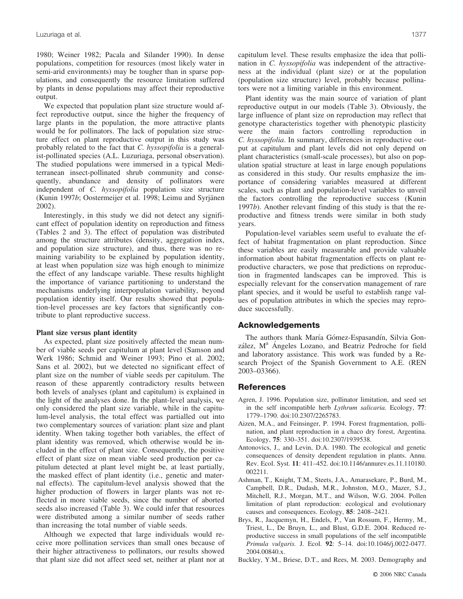1980; Weiner 1982; Pacala and Silander 1990). In dense populations, competition for resources (most likely water in semi-arid environments) may be tougher than in sparse populations, and consequently the resource limitation suffered by plants in dense populations may affect their reproductive output.

We expected that population plant size structure would affect reproductive output, since the higher the frequency of large plants in the population, the more attractive plants would be for pollinators. The lack of population size structure effect on plant reproductive output in this study was probably related to the fact that *C. hyssopifolia* is a generalist-pollinated species (A.L. Luzuriaga, personal observation). The studied populations were immersed in a typical Mediterranean insect-pollinated shrub community and consequently, abundance and density of pollinators were independent of *C. hyssopifolia* population size structure (Kunin 1997*b*; Oostermeijer et al. 1998; Leimu and Syrjänen 2002).

Interestingly, in this study we did not detect any significant effect of population identity on reproduction and fitness (Tables 2 and 3). The effect of population was distributed among the structure attributes (density, aggregation index, and population size structure), and thus, there was no remaining variability to be explained by population identity, at least when population size was high enough to minimize the effect of any landscape variable. These results highlight the importance of variance partitioning to understand the mechanisms underlying interpopulation variability, beyond population identity itself. Our results showed that population-level processes are key factors that significantly contribute to plant reproductive success.

## **Plant size versus plant identity**

As expected, plant size positively affected the mean number of viable seeds per capitulum at plant level (Samson and Werk 1986; Schmid and Weiner 1993; Pino et al. 2002; Sans et al. 2002), but we detected no significant effect of plant size on the number of viable seeds per capitulum. The reason of these apparently contradictory results between both levels of analyses (plant and capitulum) is explained in the light of the analyses done. In the plant-level analysis, we only considered the plant size variable, while in the capitulum-level analysis, the total effect was partialled out into two complementary sources of variation: plant size and plant identity. When taking together both variables, the effect of plant identity was removed, which otherwise would be included in the effect of plant size. Consequently, the positive effect of plant size on mean viable seed production per capitulum detected at plant level might be, at least partially, the masked effect of plant identity (i.e., genetic and maternal effects). The capitulum-level analysis showed that the higher production of flowers in larger plants was not reflected in more viable seeds, since the number of aborted seeds also increased (Table 3). We could infer that resources were distributed among a similar number of seeds rather than increasing the total number of viable seeds.

Although we expected that large individuals would receive more pollination services than small ones because of their higher attractiveness to pollinators, our results showed that plant size did not affect seed set, neither at plant nor at

capitulum level. These results emphasize the idea that pollination in *C. hyssopifolia* was independent of the attractiveness at the individual (plant size) or at the population (population size structure) level, probably because pollinators were not a limiting variable in this environment.

Plant identity was the main source of variation of plant reproductive output in our models (Table 3). Obviously, the large influence of plant size on reproduction may reflect that genotype characteristics together with phenotypic plasticity were the main factors controlling reproduction in *C. hyssopifolia*. In summary, differences in reproductive output at capitulum and plant levels did not only depend on plant characteristics (small-scale processes), but also on population spatial structure at least in large enough populations as considered in this study. Our results emphasize the importance of considering variables measured at different scales, such as plant and population-level variables to unveil the factors controlling the reproductive success (Kunin 1997*b*). Another relevant finding of this study is that the reproductive and fitness trends were similar in both study years.

Population-level variables seem useful to evaluate the effect of habitat fragmentation on plant reproduction. Since these variables are easily measurable and provide valuable information about habitat fragmentation effects on plant reproductive characters, we pose that predictions on reproduction in fragmented landscapes can be improved. This is especially relevant for the conservation management of rare plant species, and it would be useful to establish range values of population attributes in which the species may reproduce successfully.

# **Acknowledgements**

The authors thank María Gómez-Espasandín, Silvia González, M<sup>a</sup> Ángeles Lozano, and Beatriz Pedroche for field and laboratory assistance. This work was funded by a Research Project of the Spanish Government to A.E. (REN 2003–03366).

## **References**

- Agren, J. 1996. Population size, pollinator limitation, and seed set in the self incompatible herb *Lythrum salicaria.* Ecology, **77**: 1779–1790. doi:10.2307/2265783.
- Aizen, M.A., and Feinsinger, P. 1994. Forest fragmentation, pollination, and plant reproduction in a chaco dry forest, Argentina. Ecology, **75**: 330–351. doi:10.2307/1939538.
- Antonovics, J., and Levin, D.A. 1980. The ecological and genetic consequences of density dependent regulation in plants. Annu. Rev. Ecol. Syst. **11**: 411–452. doi:10.1146/annurev.es.11.110180. 002211.
- Ashman, T., Knight, T.M., Steets, J.A., Amarasekare, P., Burd, M., Campbell, D.R., Dudash, M.R., Johnston, M.O., Mazer, S.J., Mitchell, R.J., Morgan, M.T., and Wilson, W.G. 2004. Pollen limitation of plant reproduction: ecological and evolutionary causes and consequences. Ecology, **85**: 2408–2421.
- Brys, R., Jacquemyn, H., Endels, P., Van Rossum, F., Hermy, M., Triest, L., De Bruyn, L., and Blust, G.D.E. 2004. Reduced reproductive success in small populations of the self incompatible *Primula vulgaris.* J. Ecol. **92**: 5–14. doi:10.1046/j.0022-0477. 2004.00840.x.
- Buckley, Y.M., Briese, D.T., and Rees, M. 2003. Demography and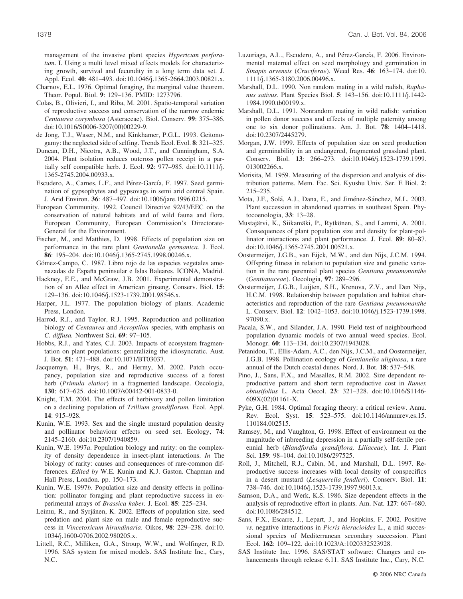management of the invasive plant species *Hypericum perforatum*. I. Using a multi level mixed effects models for characterizing growth, survival and fecundity in a long term data set. J. Appl. Ecol. **40**: 481–493. doi:10.1046/j.1365-2664.2003.00821.x.

- Charnov, E.L. 1976. Optimal foraging, the marginal value theorem. Theor. Popul. Biol. **9**: 129–136. PMID: 1273796.
- Colas, B., Olivieri, I., and Riba, M. 2001. Spatio-temporal variation of reproductive success and conservation of the narrow endemic *Centaurea corymbosa* (Asteraceae). Biol. Conserv. **99**: 375–386. doi:10.1016/S0006-3207(00)00229-9.
- de Jong, T.J., Waser, N.M., and Kinkhamer, P.G.L. 1993. Geitonogamy: the neglected side of selfing. Trends Ecol. Evol. **8**: 321–325.
- Duncan, D.H., Nicotra, A.B., Wood, J.T., and Cunningham, S.A. 2004. Plant isolation reduces outcross pollen receipt in a partially self compatible herb. J. Ecol. **92**: 977–985. doi:10.1111/j. 1365-2745.2004.00933.x.
- Escudero, A., Carnes, L.F., and Pérez-García, F. 1997. Seed germination of gypsophytes and gypsovags in semi arid central Spain. J. Arid Environ. **36**: 487–497. doi:10.1006/jare.1996.0215.
- European Community. 1992. Council Directive 92/43/EEC on the conservation of natural habitats and of wild fauna and flora. European Community, European Commission's Directorate-General for the Environment.
- Fischer, M., and Matthies, D. 1998. Effects of population size on performance in the rare plant *Gentianella germanica.* J. Ecol. **86**: 195–204. doi:10.1046/j.1365-2745.1998.00246.x.
- Gómez-Campo, C. 1987. Libro rojo de las especies vegetales amenazadas de España peninsular e Islas Baleares. ICONA, Madrid.
- Hackney, E.E., and McGraw, J.B. 2001. Experimental demonstration of an Allee effect in American ginseng. Conserv. Biol. **15**: 129–136. doi:10.1046/j.1523-1739.2001.98546.x.
- Harper, J.L. 1977. The population biology of plants. Academic Press, London.
- Harrod, R.J., and Taylor, R.J. 1995. Reproduction and pollination biology of *Centaurea* and *Acroptilon* species, with emphasis on *C. diffusa.* Northwest Sci. **69**: 97–105.
- Hobbs, R.J., and Yates, C.J. 2003. Impacts of ecosystem fragmentation on plant populations: generalizing the idiosyncratic. Aust. J. Bot. **51**: 471–488. doi:10.1071/BT03037.
- Jacquemyn, H., Brys, R., and Hermy, M. 2002. Patch occupancy, population size and reproductive success of a forest herb (*Primula elatior*) in a fragmented landscape. Oecologia, **130**: 617–625. doi:10.1007/s00442-001-0833-0.
- Knight, T.M. 2004. The effects of herbivory and pollen limitation on a declining population of *Trillium grandiflorum.* Ecol. Appl. **14**: 915–928.
- Kunin, W.E. 1993. Sex and the single mustard population density and pollinator behaviour effects on seed set. Ecology, **74**: 2145–2160. doi:10.2307/1940859.
- Kunin, W.E. 1997*a*. Population biology and rarity: on the complexity of density dependence in insect-plant interactions. *In* The biology of rarity: causes and consequences of rare-common differences. *Edited by* W.E. Kunin and K.J. Gaston. Chapman and Hall Press, London. pp. 150–173.
- Kunin, W.E. 1997*b*. Population size and density effects in pollination: pollinator foraging and plant reproductive success in experimental arrays of *Brassica kaber.* J. Ecol. **85**: 225–234.
- Leimu, R., and Syrjänen, K. 2002. Effects of population size, seed predation and plant size on male and female reproductive success in *Vincetoxicum hirundinaria*. Oikos, **98**: 229–238. doi:10. 1034/j.1600-0706.2002.980205.x.
- Littell, R.C., Milliken, G.A., Stroup, W.W., and Wolfinger, R.D. 1996. SAS system for mixed models. SAS Institute Inc., Cary, N.C.
- Luzuriaga, A.L., Escudero, A., and Pérez-García, F. 2006. Environmental maternal effect on seed morphology and germination in *Sinapis arvensis* (*Cruciferae*). Weed Res. **46**: 163–174. doi:10. 1111/j.1365-3180.2006.00496.x.
- Marshall, D.L. 1990. Non random mating in a wild radish, *Raphanus sativus.* Plant Species Biol. **5**: 143–156. doi:10.1111/j.1442- 1984.1990.tb00199.x.
- Marshall, D.L. 1991. Nonrandom mating in wild radish: variation in pollen donor success and effects of multiple paternity among one to six donor pollinations. Am. J. Bot. **78**: 1404–1418. doi:10.2307/2445279.
- Morgan, J.W. 1999. Effects of population size on seed production and germinability in an endangered, fragmented grassland plant. Conserv. Biol. **13**: 266–273. doi:10.1046/j.1523-1739.1999. 013002266.x.
- Morisita, M. 1959. Measuring of the dispersion and analysis of distribution patterns. Mem. Fac. Sci. Kyushu Univ. Ser. E Biol. **2**: 215–235.
- Mota, J.F., Solá, A.J., Dana, E., and Jiménez-Sánchez, M.L. 2003. Plant succession in abandoned quarries in southeast Spain. Phytocoenologia, **33**: 13–28.
- Mustajärvi, K., Siikamäki, P., Rytkönen, S., and Lammi, A. 2001. Consequences of plant population size and density for plant-pollinator interactions and plant performance. J. Ecol. **89**: 80–87. doi:10.1046/j.1365-2745.2001.00521.x.
- Oostermeijer, J.G.B., van Eijck, M.W., and den Nijs, J.C.M. 1994. Offspring fitness in relation to population size and genetic variation in the rare perennial plant species *Gentiana pneumonanthe* (*Gentianaceae*). Oecologia, **97**: 289–296.
- Oostermeijer, J.G.B., Luijten, S.H., Krenova, Z.V., and Den Nijs, H.C.M. 1998. Relationship between population and habitat characteristics and reproduction of the rare *Gentiana pneumonanthe* L. Conserv. Biol. **12**: 1042–1053. doi:10.1046/j.1523-1739.1998. 97090.x.
- Pacala, S.W., and Silander, J.A. 1990. Field test of neighbourhood population dynamic models of two annual weed species. Ecol. Monogr. **60**: 113–134. doi:10.2307/1943028.
- Petanidou, T., Ellis-Adam, A.C., den Nijs, J.C.M., and Oostermeijer, J.G.B. 1998. Pollination ecology of *Gentianella uliginosa*, a rare annual of the Dutch coastal dunes. Nord. J. Bot. **18**: 537–548.
- Pino, J., Sans, F.X., and Masalles, R.M. 2002. Size dependent reproductive pattern and short term reproductive cost in *Rumex obtusifolius* L. Acta Oecol. **23**: 321–328. doi:10.1016/S1146- 609X(02)01161-X.
- Pyke, G.H. 1984. Optimal foraging theory: a critical review. Annu. Rev. Ecol. Syst. **15**: 523–575. doi:10.1146/annurev.es.15. 110184.002515.
- Ramsey, M., and Vaughton, G. 1998. Effect of environment on the magnitude of inbreeding depression in a partially self-fertile perennial herb (*Blandfordia grandiflora, Liliaceae*). Int. J. Plant Sci. **159**: 98–104. doi:10.1086/297525.
- Roll, J., Mitchell, R.J., Cabin, M., and Marshall, D.L. 1997. Reproductive success increases with local density of conspecifics in a desert mustard (*Lesquerella fendleri*). Conserv. Biol. **11**: 738–746. doi:10.1046/j.1523-1739.1997.96013.x.
- Samson, D.A., and Werk, K.S. 1986. Size dependent effects in the analysis of reproductive effort in plants. Am. Nat. **127**: 667–680. doi:10.1086/284512.
- Sans, F.X., Escarre, J., Lepart, J., and Hopkins, F. 2002. Positive *vs*. negative interactions in *Picris hieracioides* L., a mid successional species of Mediterranean secondary succession. Plant Ecol. **162**: 109–122. doi:10.1023/A:1020332523928.
- SAS Institute Inc. 1996. SAS/STAT software: Changes and enhancements through release 6.11. SAS Institute Inc., Cary, N.C.